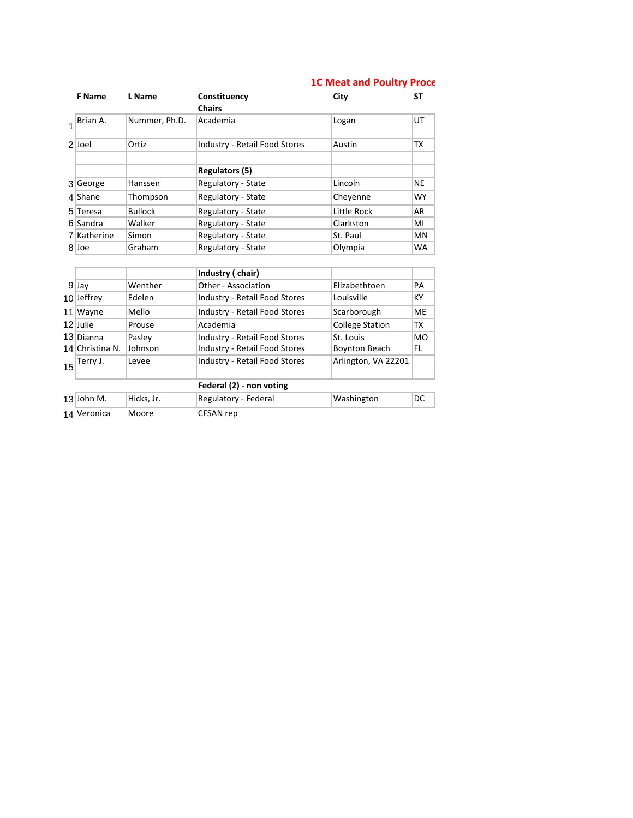## **1C Meat and Poultry Proce**

| <b>F</b> Name | L Name         | Constituency<br><b>Chairs</b>        | City        | SΤ        |
|---------------|----------------|--------------------------------------|-------------|-----------|
| Brian A.      | Nummer, Ph.D.  | Academia                             | Logan       | UT        |
| 2 Joel        | Ortiz          | <b>Industry - Retail Food Stores</b> | Austin      | ТX        |
|               |                | Regulators (5)                       |             |           |
| 3 George      | Hanssen        | Regulatory - State                   | Lincoln     | <b>NE</b> |
| $4$ Shane     | Thompson       | Regulatory - State                   | Chevenne    | <b>WY</b> |
| 5 Teresa      | <b>Bullock</b> | Regulatory - State                   | Little Rock | AR        |
| 6 Sandra      | Walker         | Regulatory - State                   | Clarkston   | MI        |
| 7 Katherine   | Simon          | Regulatory - State                   | St. Paul    | <b>MN</b> |
| 8 Joe         | Graham         | Regulatory - State                   | Olympia     | <b>WA</b> |

|    |                          |            | Industry (chair)                     |                        |           |  |  |  |  |  |  |
|----|--------------------------|------------|--------------------------------------|------------------------|-----------|--|--|--|--|--|--|
|    | $9$ Jay                  | Wenther    | Other - Association                  | Elizabethtoen          | PA        |  |  |  |  |  |  |
|    | $10$ Jeffrey             | Edelen     | Industry - Retail Food Stores        | Louisville             | КY        |  |  |  |  |  |  |
| 11 | Wayne                    | Mello      | <b>Industry - Retail Food Stores</b> | Scarborough            | <b>ME</b> |  |  |  |  |  |  |
|    | 12 Julie                 | Prouse     | Academia                             | <b>College Station</b> | ТX        |  |  |  |  |  |  |
|    | 13 Dianna                | Paslev     | <b>Industry - Retail Food Stores</b> | St. Louis              | <b>MO</b> |  |  |  |  |  |  |
|    | 14 Christina N.          | Johnson    | <b>Industry - Retail Food Stores</b> | <b>Boynton Beach</b>   | FL.       |  |  |  |  |  |  |
| 15 | Terry J.                 | Levee      | <b>Industry - Retail Food Stores</b> | Arlington, VA 22201    |           |  |  |  |  |  |  |
|    | Federal (2) - non voting |            |                                      |                        |           |  |  |  |  |  |  |
|    | $13$ John M.             | Hicks, Jr. | Regulatory - Federal                 | Washington             | DC        |  |  |  |  |  |  |
|    | 14 Veronica              | Moore      | CFSAN rep                            |                        |           |  |  |  |  |  |  |